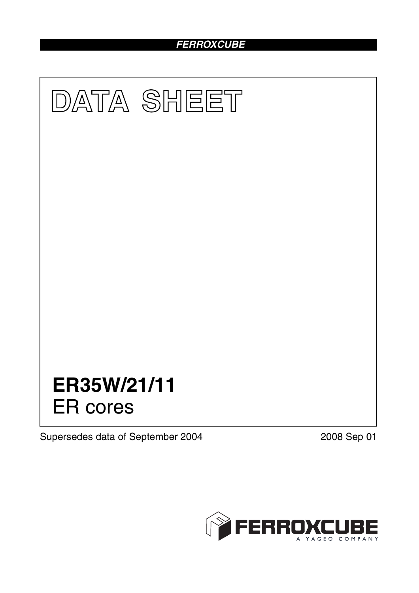# *FERROXCUBE*



Supersedes data of September 2004 2008 Sep 01

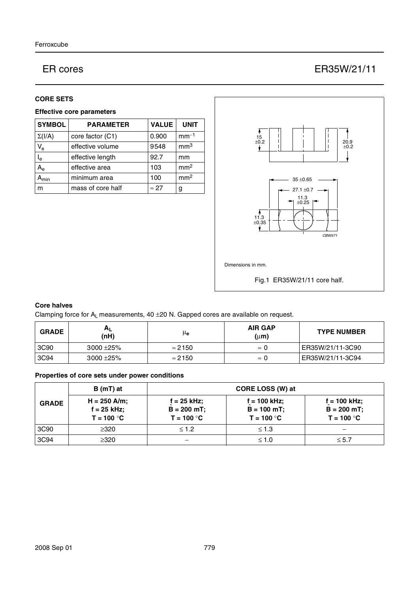# ER cores ER35W/21/11

### **CORE SETS**

## **Effective core parameters**

| <b>SYMBOL</b>       | <b>PARAMETER</b>  | <b>VALUE</b> | <b>UNIT</b>     |
|---------------------|-------------------|--------------|-----------------|
| $\Sigma(I/A)$       | core factor (C1)  | 0.900        | $mm-1$          |
| $V_{e}$             | effective volume  | 9548         | mm <sup>3</sup> |
| $I_e$               | effective length  | 92.7         | mm              |
| $A_{\rm e}$         | effective area    | 103          | mm <sup>2</sup> |
| $\lambda_{\sf min}$ | minimum area      | 100          | mm <sup>2</sup> |
| m                   | mass of core half | $\approx$ 27 | g               |



## **Core halves**

Clamping force for  $A_L$  measurements, 40  $\pm$ 20 N. Gapped cores are available on request.

| <b>GRADE</b> | $H_{L}$<br>(nH) | μ <sub>e</sub> | <b>AIR GAP</b><br>$(\mu m)$ | <b>TYPE NUMBER</b> |
|--------------|-----------------|----------------|-----------------------------|--------------------|
| 3C90         | $3000 + 25\%$   | $\approx$ 2150 | $\approx 0$                 | ER35W/21/11-3C90   |
| 3C94         | $3000 + 25\%$   | $\approx$ 2150 | $\approx$ (                 | ER35W/21/11-3C94   |

## **Properties of core sets under power conditions**

|              | B (mT) at                                       | CORE LOSS (W) at                                |                                                 |                                                |
|--------------|-------------------------------------------------|-------------------------------------------------|-------------------------------------------------|------------------------------------------------|
| <b>GRADE</b> | $H = 250$ A/m;<br>$f = 25$ kHz;<br>$T = 100 °C$ | $f = 25$ kHz;<br>$B = 200 mT$ ;<br>$T = 100 °C$ | $f = 100$ kHz;<br>$B = 100$ mT;<br>$T = 100 °C$ | f = 100 kHz;<br>$B = 200 mT$ ;<br>$T = 100 °C$ |
| 3C90         | $\geq$ 320                                      | $\leq 1.2$                                      | $\leq 1.3$                                      |                                                |
| 3C94         | ≥320                                            |                                                 | $\leq 1.0$                                      | $\leq 5.7$                                     |